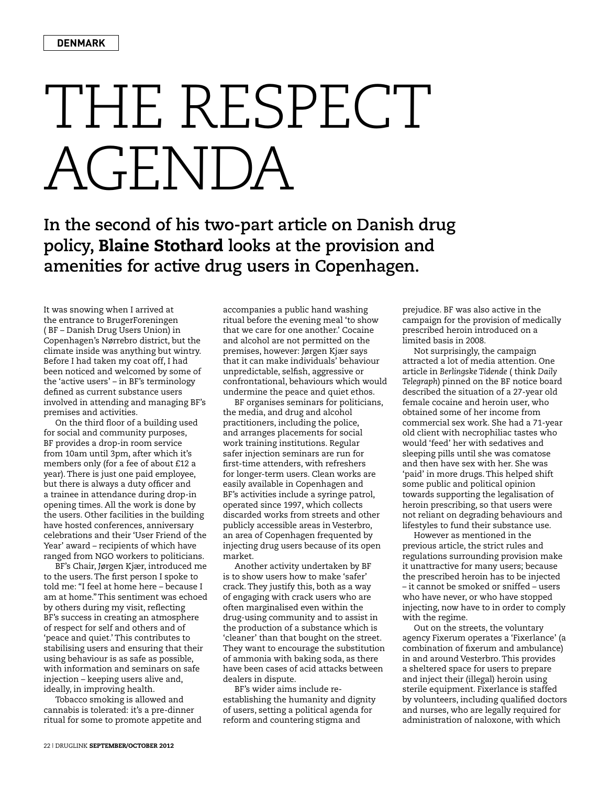## THE RESPECT AGENDA

**In the second of his two-part article on Danish drug policy,** Blaine Stothard **looks at the provision and amenities for active drug users in Copenhagen.**

It was snowing when I arrived at the entrance to BrugerForeningen ( BF – Danish Drug Users Union) in Copenhagen's Nørrebro district, but the climate inside was anything but wintry. Before I had taken my coat off, I had been noticed and welcomed by some of the 'active users' – in BF's terminology defined as current substance users involved in attending and managing BF's premises and activities.

On the third floor of a building used for social and community purposes, BF provides a drop-in room service from 10am until 3pm, after which it's members only (for a fee of about £12 a year). There is just one paid employee, but there is always a duty officer and a trainee in attendance during drop-in opening times. All the work is done by the users. Other facilities in the building have hosted conferences, anniversary celebrations and their 'User Friend of the Year' award – recipients of which have ranged from NGO workers to politicians.

BF's Chair, Jørgen Kjær, introduced me to the users. The first person I spoke to told me: "I feel at home here – because I am at home." This sentiment was echoed by others during my visit, reflecting BF's success in creating an atmosphere of respect for self and others and of 'peace and quiet.' This contributes to stabilising users and ensuring that their using behaviour is as safe as possible, with information and seminars on safe injection – keeping users alive and, ideally, in improving health.

Tobacco smoking is allowed and cannabis is tolerated: it's a pre-dinner ritual for some to promote appetite and accompanies a public hand washing ritual before the evening meal 'to show that we care for one another.' Cocaine and alcohol are not permitted on the premises, however: Jørgen Kjær says that it can make individuals' behaviour unpredictable, selfish, aggressive or confrontational, behaviours which would undermine the peace and quiet ethos.

BF organises seminars for politicians, the media, and drug and alcohol practitioners, including the police, and arranges placements for social work training institutions. Regular safer injection seminars are run for first-time attenders, with refreshers for longer-term users. Clean works are easily available in Copenhagen and BF's activities include a syringe patrol, operated since 1997, which collects discarded works from streets and other publicly accessible areas in Vesterbro, an area of Copenhagen frequented by injecting drug users because of its open market.

Another activity undertaken by BF is to show users how to make 'safer' crack. They justify this, both as a way of engaging with crack users who are often marginalised even within the drug-using community and to assist in the production of a substance which is 'cleaner' than that bought on the street. They want to encourage the substitution of ammonia with baking soda, as there have been cases of acid attacks between dealers in dispute.

BF's wider aims include reestablishing the humanity and dignity of users, setting a political agenda for reform and countering stigma and

prejudice. BF was also active in the campaign for the provision of medically prescribed heroin introduced on a limited basis in 2008.

Not surprisingly, the campaign attracted a lot of media attention. One article in *Berlingske Tidende* ( think *Daily Telegraph*) pinned on the BF notice board described the situation of a 27-year old female cocaine and heroin user, who obtained some of her income from commercial sex work. She had a 71-year old client with necrophiliac tastes who would 'feed' her with sedatives and sleeping pills until she was comatose and then have sex with her. She was 'paid' in more drugs. This helped shift some public and political opinion towards supporting the legalisation of heroin prescribing, so that users were not reliant on degrading behaviours and lifestyles to fund their substance use.

However as mentioned in the previous article, the strict rules and regulations surrounding provision make it unattractive for many users; because the prescribed heroin has to be injected – it cannot be smoked or sniffed – users who have never, or who have stopped injecting, now have to in order to comply with the regime.

Out on the streets, the voluntary agency Fixerum operates a 'Fixerlance' (a combination of fixerum and ambulance) in and around Vesterbro. This provides a sheltered space for users to prepare and inject their (illegal) heroin using sterile equipment. Fixerlance is staffed by volunteers, including qualified doctors and nurses, who are legally required for administration of naloxone, with which